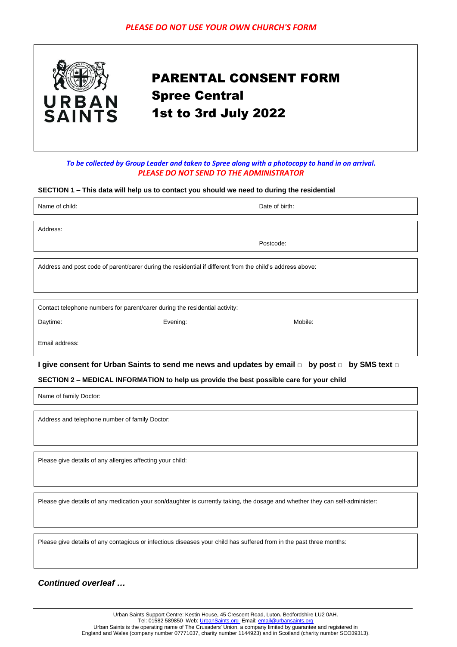

# PARENTAL CONSENT FORM Spree Central 1st to 3rd July 2022

## *To be collected by Group Leader and taken to Spree along with a photocopy to hand in on arrival. PLEASE DO NOT SEND TO THE ADMINISTRATOR*

#### **SECTION 1 – This data will help us to contact you should we need to during the residential**

|                                                                                                           | Date of birth: |  |  |
|-----------------------------------------------------------------------------------------------------------|----------------|--|--|
|                                                                                                           |                |  |  |
|                                                                                                           |                |  |  |
|                                                                                                           | Postcode:      |  |  |
|                                                                                                           |                |  |  |
| Address and post code of parent/carer during the residential if different from the child's address above: |                |  |  |
|                                                                                                           |                |  |  |
|                                                                                                           |                |  |  |
| Contact telephone numbers for parent/carer during the residential activity:                               |                |  |  |
| Evening:                                                                                                  | Mobile:        |  |  |
|                                                                                                           |                |  |  |
|                                                                                                           |                |  |  |

**I give consent for Urban Saints to send me news and updates by email □ by post □ by SMS text □**

#### **SECTION 2 – MEDICAL INFORMATION to help us provide the best possible care for your child**

Name of family Doctor:

Address and telephone number of family Doctor:

Please give details of any allergies affecting your child:

Please give details of any medication your son/daughter is currently taking, the dosage and whether they can self-administer:

Please give details of any contagious or infectious diseases your child has suffered from in the past three months:

# *Continued overleaf …*